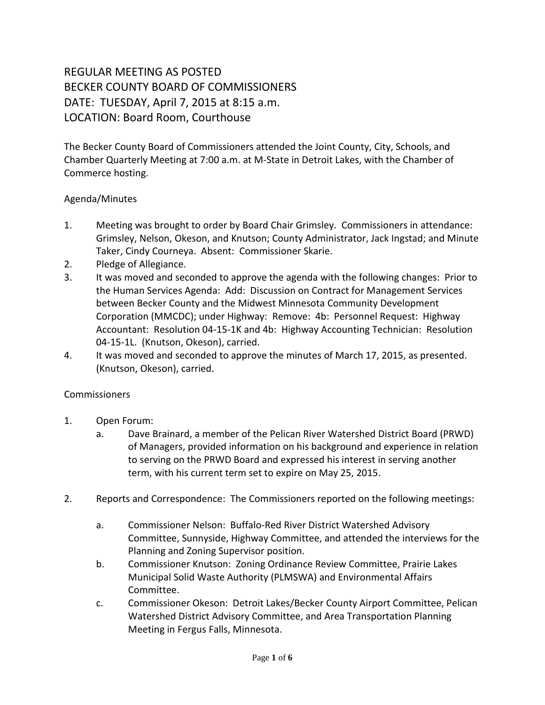## REGULAR MEETING AS POSTED BECKER COUNTY BOARD OF COMMISSIONERS DATE: TUESDAY, April 7, 2015 at 8:15 a.m. LOCATION: Board Room, Courthouse

The Becker County Board of Commissioners attended the Joint County, City, Schools, and Chamber Quarterly Meeting at 7:00 a.m. at M-State in Detroit Lakes, with the Chamber of Commerce hosting.

## Agenda/Minutes

- 1. Meeting was brought to order by Board Chair Grimsley. Commissioners in attendance: Grimsley, Nelson, Okeson, and Knutson; County Administrator, Jack Ingstad; and Minute Taker, Cindy Courneya. Absent: Commissioner Skarie.
- 2. Pledge of Allegiance.
- 3. It was moved and seconded to approve the agenda with the following changes: Prior to the Human Services Agenda: Add: Discussion on Contract for Management Services between Becker County and the Midwest Minnesota Community Development Corporation (MMCDC); under Highway: Remove: 4b: Personnel Request: Highway Accountant: Resolution 04-15-1K and 4b: Highway Accounting Technician: Resolution 04-15-1L. (Knutson, Okeson), carried.
- 4. It was moved and seconded to approve the minutes of March 17, 2015, as presented. (Knutson, Okeson), carried.

## Commissioners

- 1. Open Forum:
	- a. Dave Brainard, a member of the Pelican River Watershed District Board (PRWD) of Managers, provided information on his background and experience in relation to serving on the PRWD Board and expressed his interest in serving another term, with his current term set to expire on May 25, 2015.
- 2. Reports and Correspondence: The Commissioners reported on the following meetings:
	- a. Commissioner Nelson: Buffalo-Red River District Watershed Advisory Committee, Sunnyside, Highway Committee, and attended the interviews for the Planning and Zoning Supervisor position.
	- b. Commissioner Knutson: Zoning Ordinance Review Committee, Prairie Lakes Municipal Solid Waste Authority (PLMSWA) and Environmental Affairs Committee.
	- c. Commissioner Okeson: Detroit Lakes/Becker County Airport Committee, Pelican Watershed District Advisory Committee, and Area Transportation Planning Meeting in Fergus Falls, Minnesota.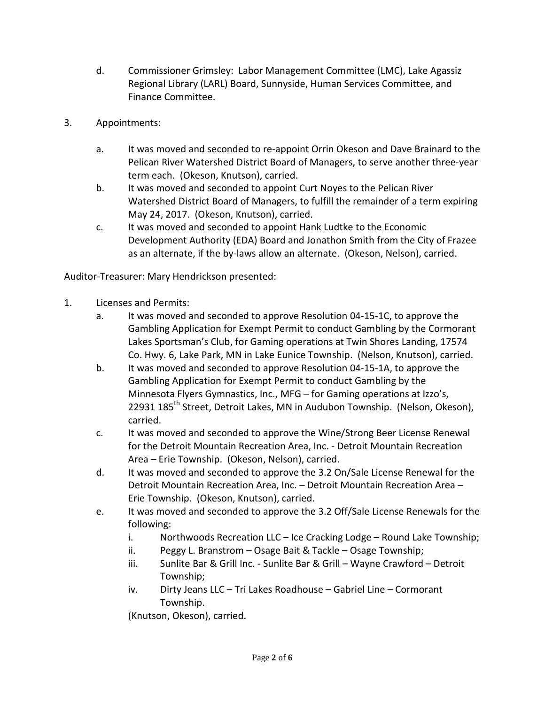- d. Commissioner Grimsley: Labor Management Committee (LMC), Lake Agassiz Regional Library (LARL) Board, Sunnyside, Human Services Committee, and Finance Committee.
- 3. Appointments:
	- a. It was moved and seconded to re-appoint Orrin Okeson and Dave Brainard to the Pelican River Watershed District Board of Managers, to serve another three-year term each. (Okeson, Knutson), carried.
	- b. It was moved and seconded to appoint Curt Noyes to the Pelican River Watershed District Board of Managers, to fulfill the remainder of a term expiring May 24, 2017. (Okeson, Knutson), carried.
	- c. It was moved and seconded to appoint Hank Ludtke to the Economic Development Authority (EDA) Board and Jonathon Smith from the City of Frazee as an alternate, if the by-laws allow an alternate. (Okeson, Nelson), carried.

Auditor-Treasurer: Mary Hendrickson presented:

- 1. Licenses and Permits:
	- a. It was moved and seconded to approve Resolution 04-15-1C, to approve the Gambling Application for Exempt Permit to conduct Gambling by the Cormorant Lakes Sportsman's Club, for Gaming operations at Twin Shores Landing, 17574 Co. Hwy. 6, Lake Park, MN in Lake Eunice Township. (Nelson, Knutson), carried.
	- b. It was moved and seconded to approve Resolution 04-15-1A, to approve the Gambling Application for Exempt Permit to conduct Gambling by the Minnesota Flyers Gymnastics, Inc., MFG – for Gaming operations at Izzo's, 22931 185<sup>th</sup> Street, Detroit Lakes, MN in Audubon Township. (Nelson, Okeson), carried.
	- c. It was moved and seconded to approve the Wine/Strong Beer License Renewal for the Detroit Mountain Recreation Area, Inc. - Detroit Mountain Recreation Area – Erie Township. (Okeson, Nelson), carried.
	- d. It was moved and seconded to approve the 3.2 On/Sale License Renewal for the Detroit Mountain Recreation Area, Inc. – Detroit Mountain Recreation Area – Erie Township. (Okeson, Knutson), carried.
	- e. It was moved and seconded to approve the 3.2 Off/Sale License Renewals for the following:
		- i. Northwoods Recreation LLC Ice Cracking Lodge Round Lake Township;
		- ii. Peggy L. Branstrom Osage Bait & Tackle Osage Township;
		- iii. Sunlite Bar & Grill Inc. Sunlite Bar & Grill Wayne Crawford Detroit Township;
		- iv. Dirty Jeans LLC Tri Lakes Roadhouse Gabriel Line Cormorant Township.

(Knutson, Okeson), carried.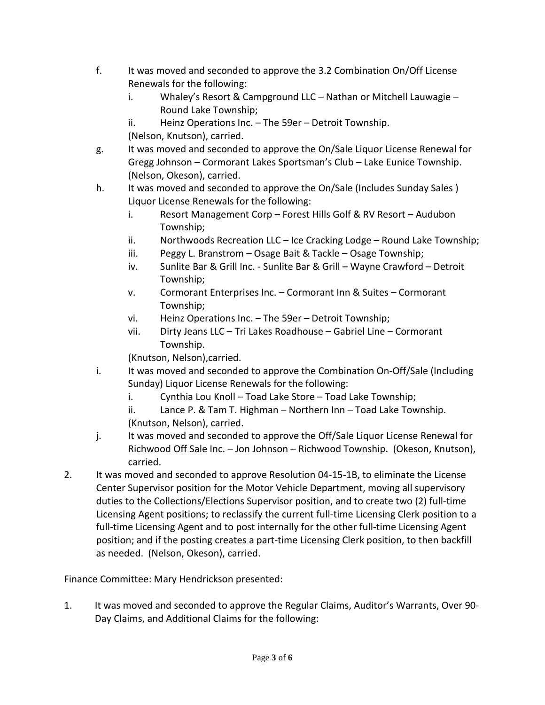- f. It was moved and seconded to approve the 3.2 Combination On/Off License Renewals for the following:
	- i. Whaley's Resort & Campground LLC Nathan or Mitchell Lauwagie Round Lake Township;

ii. Heinz Operations Inc. – The 59er – Detroit Township. (Nelson, Knutson), carried.

- g. It was moved and seconded to approve the On/Sale Liquor License Renewal for Gregg Johnson – Cormorant Lakes Sportsman's Club – Lake Eunice Township. (Nelson, Okeson), carried.
- h. It was moved and seconded to approve the On/Sale (Includes Sunday Sales ) Liquor License Renewals for the following:
	- i. Resort Management Corp Forest Hills Golf & RV Resort Audubon Township;
	- ii. Northwoods Recreation LLC Ice Cracking Lodge Round Lake Township;
	- iii. Peggy L. Branstrom Osage Bait & Tackle Osage Township;
	- iv. Sunlite Bar & Grill Inc. Sunlite Bar & Grill Wayne Crawford Detroit Township;
	- v. Cormorant Enterprises Inc. Cormorant Inn & Suites Cormorant Township;
	- vi. Heinz Operations Inc. The 59er Detroit Township;
	- vii. Dirty Jeans LLC Tri Lakes Roadhouse Gabriel Line Cormorant Township.

(Knutson, Nelson),carried.

- i. It was moved and seconded to approve the Combination On-Off/Sale (Including Sunday) Liquor License Renewals for the following:
	- i. Cynthia Lou Knoll Toad Lake Store Toad Lake Township;
	- ii. Lance P. & Tam T. Highman Northern Inn Toad Lake Township. (Knutson, Nelson), carried.
- j. It was moved and seconded to approve the Off/Sale Liquor License Renewal for Richwood Off Sale Inc. – Jon Johnson – Richwood Township. (Okeson, Knutson), carried.
- 2. It was moved and seconded to approve Resolution 04-15-1B, to eliminate the License Center Supervisor position for the Motor Vehicle Department, moving all supervisory duties to the Collections/Elections Supervisor position, and to create two (2) full-time Licensing Agent positions; to reclassify the current full-time Licensing Clerk position to a full-time Licensing Agent and to post internally for the other full-time Licensing Agent position; and if the posting creates a part-time Licensing Clerk position, to then backfill as needed. (Nelson, Okeson), carried.

Finance Committee: Mary Hendrickson presented:

1. It was moved and seconded to approve the Regular Claims, Auditor's Warrants, Over 90- Day Claims, and Additional Claims for the following: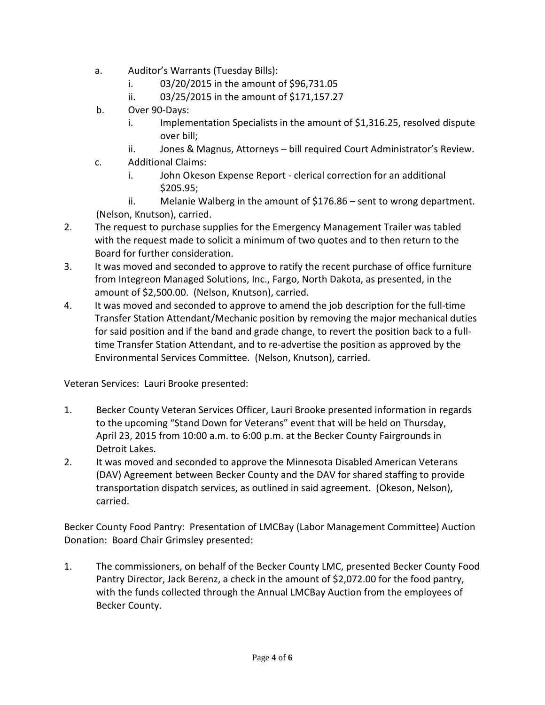- a. Auditor's Warrants (Tuesday Bills):
	- i. 03/20/2015 in the amount of \$96,731.05
	- ii. 03/25/2015 in the amount of \$171,157.27
- b. Over 90-Days:
	- i. Implementation Specialists in the amount of \$1,316.25, resolved dispute over bill;
	- ii. Jones & Magnus, Attorneys bill required Court Administrator's Review.
- c. Additional Claims:
	- i. John Okeson Expense Report clerical correction for an additional \$205.95;

ii. Melanie Walberg in the amount of \$176.86 – sent to wrong department. (Nelson, Knutson), carried.

- 2. The request to purchase supplies for the Emergency Management Trailer was tabled with the request made to solicit a minimum of two quotes and to then return to the Board for further consideration.
- 3. It was moved and seconded to approve to ratify the recent purchase of office furniture from Integreon Managed Solutions, Inc., Fargo, North Dakota, as presented, in the amount of \$2,500.00. (Nelson, Knutson), carried.
- 4. It was moved and seconded to approve to amend the job description for the full-time Transfer Station Attendant/Mechanic position by removing the major mechanical duties for said position and if the band and grade change, to revert the position back to a fulltime Transfer Station Attendant, and to re-advertise the position as approved by the Environmental Services Committee. (Nelson, Knutson), carried.

Veteran Services: Lauri Brooke presented:

- 1. Becker County Veteran Services Officer, Lauri Brooke presented information in regards to the upcoming "Stand Down for Veterans" event that will be held on Thursday, April 23, 2015 from 10:00 a.m. to 6:00 p.m. at the Becker County Fairgrounds in Detroit Lakes.
- 2. It was moved and seconded to approve the Minnesota Disabled American Veterans (DAV) Agreement between Becker County and the DAV for shared staffing to provide transportation dispatch services, as outlined in said agreement. (Okeson, Nelson), carried.

Becker County Food Pantry: Presentation of LMCBay (Labor Management Committee) Auction Donation: Board Chair Grimsley presented:

1. The commissioners, on behalf of the Becker County LMC, presented Becker County Food Pantry Director, Jack Berenz, a check in the amount of \$2,072.00 for the food pantry, with the funds collected through the Annual LMCBay Auction from the employees of Becker County.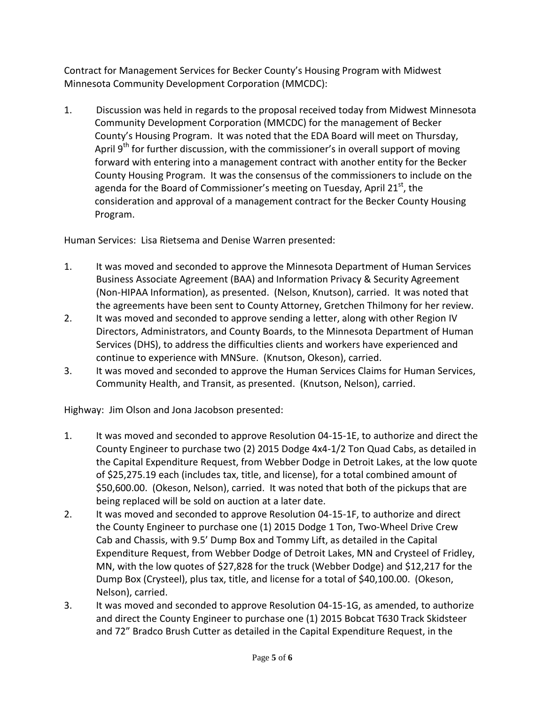Contract for Management Services for Becker County's Housing Program with Midwest Minnesota Community Development Corporation (MMCDC):

1. Discussion was held in regards to the proposal received today from Midwest Minnesota Community Development Corporation (MMCDC) for the management of Becker County's Housing Program. It was noted that the EDA Board will meet on Thursday, April  $9<sup>th</sup>$  for further discussion, with the commissioner's in overall support of moving forward with entering into a management contract with another entity for the Becker County Housing Program. It was the consensus of the commissioners to include on the agenda for the Board of Commissioner's meeting on Tuesday, April 21 $^{st}$ , the consideration and approval of a management contract for the Becker County Housing Program.

Human Services: Lisa Rietsema and Denise Warren presented:

- 1. It was moved and seconded to approve the Minnesota Department of Human Services Business Associate Agreement (BAA) and Information Privacy & Security Agreement (Non-HIPAA Information), as presented. (Nelson, Knutson), carried. It was noted that the agreements have been sent to County Attorney, Gretchen Thilmony for her review.
- 2. It was moved and seconded to approve sending a letter, along with other Region IV Directors, Administrators, and County Boards, to the Minnesota Department of Human Services (DHS), to address the difficulties clients and workers have experienced and continue to experience with MNSure. (Knutson, Okeson), carried.
- 3. It was moved and seconded to approve the Human Services Claims for Human Services, Community Health, and Transit, as presented. (Knutson, Nelson), carried.

Highway: Jim Olson and Jona Jacobson presented:

- 1. It was moved and seconded to approve Resolution 04-15-1E, to authorize and direct the County Engineer to purchase two (2) 2015 Dodge 4x4-1/2 Ton Quad Cabs, as detailed in the Capital Expenditure Request, from Webber Dodge in Detroit Lakes, at the low quote of \$25,275.19 each (includes tax, title, and license), for a total combined amount of \$50,600.00. (Okeson, Nelson), carried. It was noted that both of the pickups that are being replaced will be sold on auction at a later date.
- 2. It was moved and seconded to approve Resolution 04-15-1F, to authorize and direct the County Engineer to purchase one (1) 2015 Dodge 1 Ton, Two-Wheel Drive Crew Cab and Chassis, with 9.5' Dump Box and Tommy Lift, as detailed in the Capital Expenditure Request, from Webber Dodge of Detroit Lakes, MN and Crysteel of Fridley, MN, with the low quotes of \$27,828 for the truck (Webber Dodge) and \$12,217 for the Dump Box (Crysteel), plus tax, title, and license for a total of \$40,100.00. (Okeson, Nelson), carried.
- 3. It was moved and seconded to approve Resolution 04-15-1G, as amended, to authorize and direct the County Engineer to purchase one (1) 2015 Bobcat T630 Track Skidsteer and 72" Bradco Brush Cutter as detailed in the Capital Expenditure Request, in the